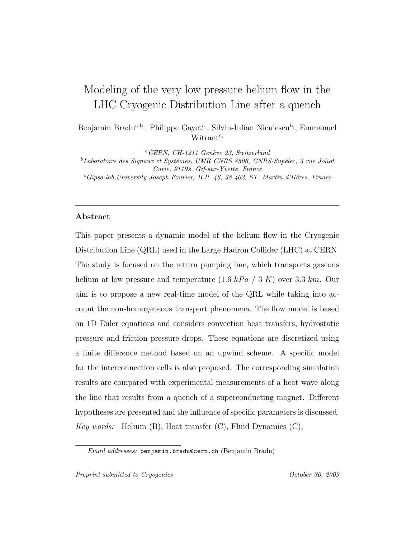# Modeling of the very low pressure helium flow in the LHC Cryogenic Distribution Line after a quench

Benjamin Bradu<sup>a,b,</sup>, Philippe Gayet<sup>a,</sup>, Silviu-Iulian Niculescu<sup>b,</sup>, Emmanuel Witrant<sup>c,</sup>

 ${}^aCERN$ , CH-1211 Genève 23, Switzerland  ${}^b$ Laboratoire des Signaux et Systèmes, UMR CNRS 8506, CNRS-Supélec, 3 rue Joliot Curie, 91192, Gif-sur-Yvette, France  $c_{\text{Gipsa-lab},\text{University Joseph Fourier}, B.P.$  46, 38 402, ST. Martin d'Héres, France

## Abstract

This paper presents a dynamic model of the helium flow in the Cryogenic Distribution Line (QRL) used in the Large Hadron Collider (LHC) at CERN. The study is focused on the return pumping line, which transports gaseous helium at low pressure and temperature  $(1.6\ kPa / 3\ K)$  over 3.3 km. Our aim is to propose a new real-time model of the QRL while taking into account the non-homogeneous transport phenomena. The flow model is based on 1D Euler equations and considers convection heat transfers, hydrostatic pressure and friction pressure drops. These equations are discretized using a finite difference method based on an upwind scheme. A specific model for the interconnection cells is also proposed. The corresponding simulation results are compared with experimental measurements of a heat wave along the line that results from a quench of a superconducting magnet. Different hypotheses are presented and the influence of specific parameters is discussed. Key words: Helium  $(B)$ , Heat transfer  $(C)$ , Fluid Dynamics  $(C)$ ,

Email addresses: benjamin.bradu@cern.ch (Benjamin Bradu)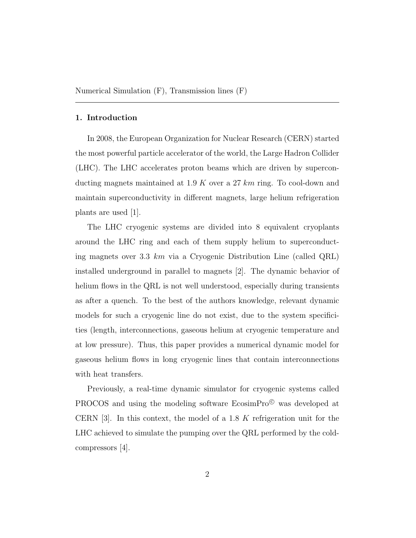#### 1. Introduction

In 2008, the European Organization for Nuclear Research (CERN) started the most powerful particle accelerator of the world, the Large Hadron Collider (LHC). The LHC accelerates proton beams which are driven by superconducting magnets maintained at 1.9 K over a 27  $km$  ring. To cool-down and maintain superconductivity in different magnets, large helium refrigeration plants are used [1].

The LHC cryogenic systems are divided into 8 equivalent cryoplants around the LHC ring and each of them supply helium to superconducting magnets over 3.3  $km$  via a Cryogenic Distribution Line (called QRL) installed underground in parallel to magnets [2]. The dynamic behavior of helium flows in the QRL is not well understood, especially during transients as after a quench. To the best of the authors knowledge, relevant dynamic models for such a cryogenic line do not exist, due to the system specificities (length, interconnections, gaseous helium at cryogenic temperature and at low pressure). Thus, this paper provides a numerical dynamic model for gaseous helium flows in long cryogenic lines that contain interconnections with heat transfers.

Previously, a real-time dynamic simulator for cryogenic systems called PROCOS and using the modeling software EcosimPro<sup>©</sup> was developed at CERN  $[3]$ . In this context, the model of a 1.8 K refrigeration unit for the LHC achieved to simulate the pumping over the QRL performed by the coldcompressors [4].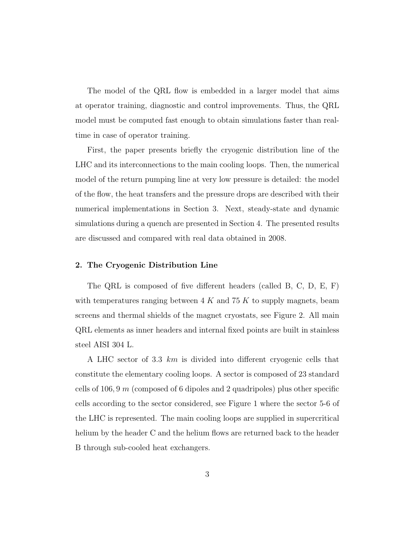The model of the QRL flow is embedded in a larger model that aims at operator training, diagnostic and control improvements. Thus, the QRL model must be computed fast enough to obtain simulations faster than realtime in case of operator training.

First, the paper presents briefly the cryogenic distribution line of the LHC and its interconnections to the main cooling loops. Then, the numerical model of the return pumping line at very low pressure is detailed: the model of the flow, the heat transfers and the pressure drops are described with their numerical implementations in Section 3. Next, steady-state and dynamic simulations during a quench are presented in Section 4. The presented results are discussed and compared with real data obtained in 2008.

## 2. The Cryogenic Distribution Line

The QRL is composed of five different headers (called B, C, D, E, F) with temperatures ranging between  $4 K$  and  $75 K$  to supply magnets, beam screens and thermal shields of the magnet cryostats, see Figure 2. All main QRL elements as inner headers and internal fixed points are built in stainless steel AISI 304 L.

A LHC sector of 3.3  $km$  is divided into different cryogenic cells that constitute the elementary cooling loops. A sector is composed of 23 standard cells of 106, 9 m (composed of 6 dipoles and 2 quadripoles) plus other specific cells according to the sector considered, see Figure 1 where the sector 5-6 of the LHC is represented. The main cooling loops are supplied in supercritical helium by the header C and the helium flows are returned back to the header B through sub-cooled heat exchangers.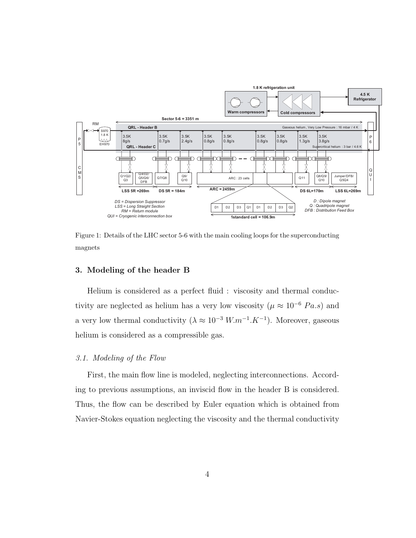

Figure 1: Details of the LHC sector 5-6 with the main cooling loops for the superconducting magnets

## 3. Modeling of the header B

Helium is considered as a perfect fluid : viscosity and thermal conductivity are neglected as helium has a very low viscosity ( $\mu \approx 10^{-6} Pa.s$ ) and a very low thermal conductivity  $(\lambda \approx 10^{-3} W.m^{-1}.K^{-1})$ . Moreover, gaseous helium is considered as a compressible gas.

# 3.1. Modeling of the Flow

First, the main flow line is modeled, neglecting interconnections. According to previous assumptions, an inviscid flow in the header B is considered. Thus, the flow can be described by Euler equation which is obtained from Navier-Stokes equation neglecting the viscosity and the thermal conductivity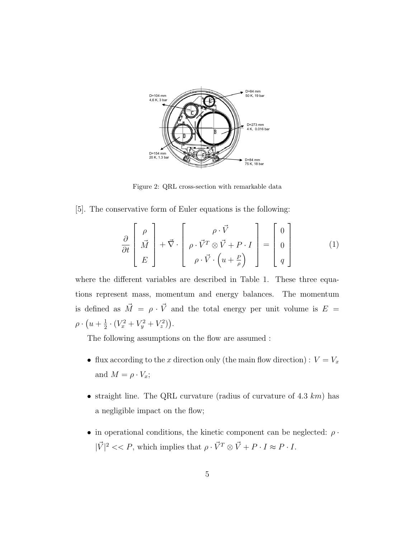

Figure 2: QRL cross-section with remarkable data

[5]. The conservative form of Euler equations is the following:

$$
\frac{\partial}{\partial t} \begin{bmatrix} \rho \\ \vec{M} \\ E \end{bmatrix} + \vec{\nabla} \cdot \begin{bmatrix} \rho \cdot \vec{V} \\ \rho \cdot \vec{V}^T \otimes \vec{V} + P \cdot I \\ \rho \cdot \vec{V} \cdot \left( u + \frac{P}{\rho} \right) \end{bmatrix} = \begin{bmatrix} 0 \\ 0 \\ q \end{bmatrix}
$$
(1)

where the different variables are described in Table 1. These three equations represent mass, momentum and energy balances. The momentum is defined as  $\vec{M} = \rho \cdot \vec{V}$  and the total energy per unit volume is  $E =$  $\rho \cdot \left( u + \frac{1}{2} \right)$  $\frac{1}{2} \cdot (V_x^2 + V_y^2 + V_z^2)$ .

The following assumptions on the flow are assumed :

- flux according to the x direction only (the main flow direction) :  $V = V_x$ and  $M = \rho \cdot V_x$ ;
- straight line. The QRL curvature (radius of curvature of 4.3  $km$ ) has a negligible impact on the flow;
- in operational conditions, the kinetic component can be neglected:  $\rho \cdot$  $|\vec{V}|^2 << P$ , which implies that  $\rho \cdot \vec{V}^T \otimes \vec{V} + P \cdot I \approx P \cdot I$ .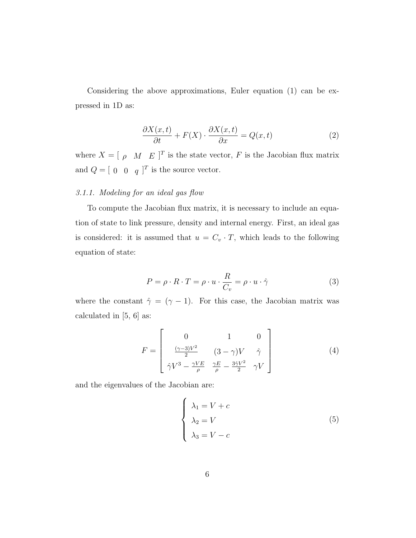Considering the above approximations, Euler equation (1) can be expressed in 1D as:

$$
\frac{\partial X(x,t)}{\partial t} + F(X) \cdot \frac{\partial X(x,t)}{\partial x} = Q(x,t)
$$
 (2)

where  $X = [\rho \ M \ E]^T$  is the state vector, F is the Jacobian flux matrix and  $Q = [0 \ 0 \ q]^T$  is the source vector.

# 3.1.1. Modeling for an ideal gas flow

To compute the Jacobian flux matrix, it is necessary to include an equation of state to link pressure, density and internal energy. First, an ideal gas is considered: it is assumed that  $u = C_v \cdot T$ , which leads to the following equation of state:

$$
P = \rho \cdot R \cdot T = \rho \cdot u \cdot \frac{R}{C_v} = \rho \cdot u \cdot \hat{\gamma}
$$
 (3)

where the constant  $\hat{\gamma} = (\gamma - 1)$ . For this case, the Jacobian matrix was calculated in [5, 6] as:

$$
F = \begin{bmatrix} 0 & 1 & 0 \\ \frac{(\gamma - 3)V^2}{2} & (3 - \gamma)V & \hat{\gamma} \\ \hat{\gamma}V^3 - \frac{\gamma VE}{\rho} & \frac{\gamma E}{\rho} - \frac{3\hat{\gamma}V^2}{2} & \gamma V \end{bmatrix}
$$
(4)

and the eigenvalues of the Jacobian are:

$$
\begin{cases}\n\lambda_1 = V + c \\
\lambda_2 = V \\
\lambda_3 = V - c\n\end{cases}
$$
\n(5)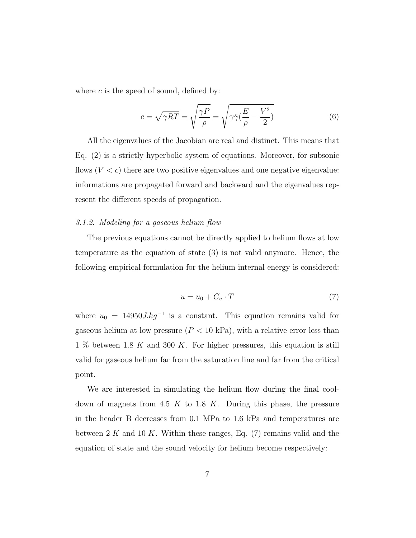where  $c$  is the speed of sound, defined by:

$$
c = \sqrt{\gamma RT} = \sqrt{\frac{\gamma P}{\rho}} = \sqrt{\gamma \hat{\gamma} (\frac{E}{\rho} - \frac{V^2}{2})}
$$
(6)

All the eigenvalues of the Jacobian are real and distinct. This means that Eq. (2) is a strictly hyperbolic system of equations. Moreover, for subsonic flows  $(V < c)$  there are two positive eigenvalues and one negative eigenvalue: informations are propagated forward and backward and the eigenvalues represent the different speeds of propagation.

## 3.1.2. Modeling for a gaseous helium flow

The previous equations cannot be directly applied to helium flows at low temperature as the equation of state (3) is not valid anymore. Hence, the following empirical formulation for the helium internal energy is considered:

$$
u = u_0 + C_v \cdot T \tag{7}
$$

where  $u_0 = 14950 J.kg^{-1}$  is a constant. This equation remains valid for gaseous helium at low pressure  $(P < 10 \text{ kPa})$ , with a relative error less than 1 % between 1.8 K and 300 K. For higher pressures, this equation is still valid for gaseous helium far from the saturation line and far from the critical point.

We are interested in simulating the helium flow during the final cooldown of magnets from 4.5 K to 1.8 K. During this phase, the pressure in the header B decreases from 0.1 MPa to 1.6 kPa and temperatures are between  $2 K$  and  $10 K$ . Within these ranges, Eq. (7) remains valid and the equation of state and the sound velocity for helium become respectively: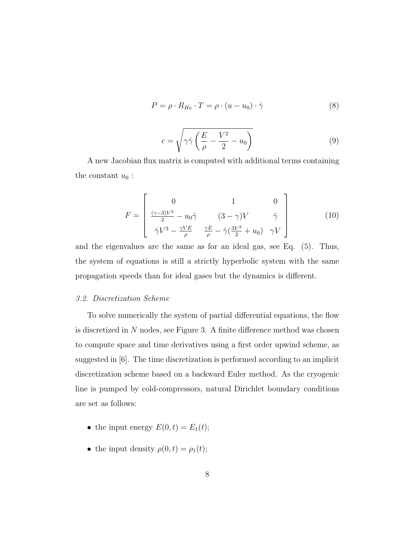$$
P = \rho \cdot R_{He} \cdot T = \rho \cdot (u - u_0) \cdot \hat{\gamma}
$$
 (8)

$$
c = \sqrt{\gamma \hat{\gamma} \left(\frac{E}{\rho} - \frac{V^2}{2} - u_0\right)}\tag{9}
$$

A new Jacobian flux matrix is computed with additional terms containing the constant  $u_0$ :

$$
F = \begin{bmatrix} 0 & 1 & 0\\ \frac{(\gamma - 3)V^2}{2} - u_0 \hat{\gamma} & (3 - \gamma)V & \hat{\gamma} \\ \hat{\gamma}V^3 - \frac{\gamma VE}{\rho} & \frac{\gamma E}{\rho} - \hat{\gamma}(\frac{3V^2}{2} + u_0) & \gamma V \end{bmatrix}
$$
(10)

and the eigenvalues are the same as for an ideal gas, see Eq. (5). Thus, the system of equations is still a strictly hyperbolic system with the same propagation speeds than for ideal gases but the dynamics is different.

# 3.2. Discretization Scheme

To solve numerically the system of partial differential equations, the flow is discretized in N nodes, see Figure 3. A finite difference method was chosen to compute space and time derivatives using a first order upwind scheme, as suggested in [6]. The time discretization is performed according to an implicit discretization scheme based on a backward Euler method. As the cryogenic line is pumped by cold-compressors, natural Dirichlet boundary conditions are set as follows:

- the input energy  $E(0, t) = E_1(t);$
- the input density  $\rho(0, t) = \rho_1(t);$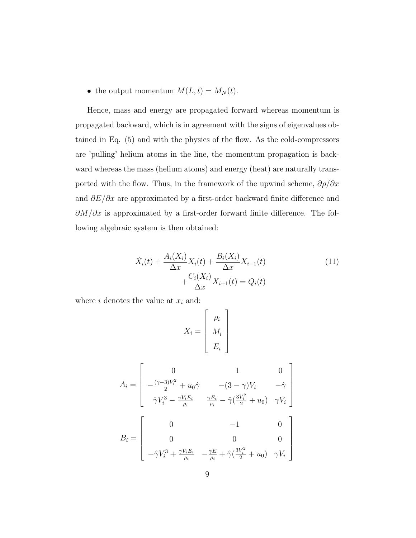• the output momentum  $M(L, t) = M_N(t)$ .

Hence, mass and energy are propagated forward whereas momentum is propagated backward, which is in agreement with the signs of eigenvalues obtained in Eq. (5) and with the physics of the flow. As the cold-compressors are 'pulling' helium atoms in the line, the momentum propagation is backward whereas the mass (helium atoms) and energy (heat) are naturally transported with the flow. Thus, in the framework of the upwind scheme,  $\partial \rho / \partial x$ and  $\partial E/\partial x$  are approximated by a first-order backward finite difference and  $\partial M/\partial x$  is approximated by a first-order forward finite difference. The following algebraic system is then obtained:

$$
\dot{X}_i(t) + \frac{A_i(X_i)}{\Delta x} X_i(t) + \frac{B_i(X_i)}{\Delta x} X_{i-1}(t) + \frac{C_i(X_i)}{\Delta x} X_{i+1}(t) = Q_i(t)
$$
\n(11)

where  $i$  denotes the value at  $x_i$  and:

$$
X_i = \left[ \begin{array}{c} \rho_i \\ M_i \\ E_i \end{array} \right]
$$

$$
A_i = \begin{bmatrix} 0 & 1 & 0 \\ -\frac{(\gamma - 3)V_i^2}{2} + u_0 \hat{\gamma} & -(3 - \gamma)V_i & -\hat{\gamma} \\ \hat{\gamma}V_i^3 - \frac{\gamma V_i E_i}{\rho_i} & \frac{\gamma E_i}{\rho_i} - \hat{\gamma}(\frac{3V_i^2}{2} + u_0) & \gamma V_i \end{bmatrix}
$$

$$
B_i = \begin{bmatrix} 0 & -1 & 0 \\ 0 & 0 & 0 \\ -\hat{\gamma}V_i^3 + \frac{\gamma V_i E_i}{\rho_i} & -\frac{\gamma E}{\rho_i} + \hat{\gamma}(\frac{3V_i^2}{2} + u_0) & \gamma V_i \end{bmatrix}
$$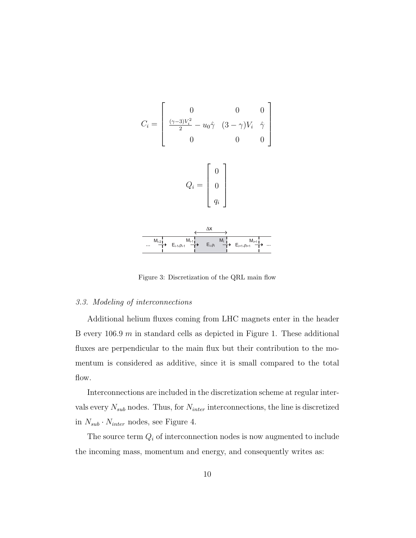

Figure 3: Discretization of the QRL main flow

# 3.3. Modeling of interconnections

Additional helium fluxes coming from LHC magnets enter in the header B every  $106.9 \; m$  in standard cells as depicted in Figure 1. These additional fluxes are perpendicular to the main flux but their contribution to the momentum is considered as additive, since it is small compared to the total flow.

Interconnections are included in the discretization scheme at regular intervals every  $N_{sub}$  nodes. Thus, for  $N_{inter}$  interconnections, the line is discretized in  $N_{sub} \cdot N_{inter}$  nodes, see Figure 4.

The source term  $Q_i$  of interconnection nodes is now augmented to include the incoming mass, momentum and energy, and consequently writes as: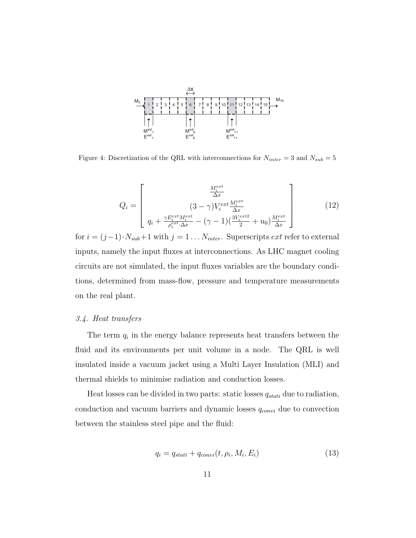

Figure 4: Discretization of the QRL with interconnections for  $N_{inter} = 3$  and  $N_{sub} = 5$ 

$$
Q_i = \begin{bmatrix} \frac{M_i^{ext}}{\Delta x} \\ (3 - \gamma)V_i^{ext}\frac{M_i^{ext}}{\Delta x} \\ q_i + \frac{\gamma E_i^{ext}M_i^{ext}}{\rho_i^{ext}\Delta x} - (\gamma - 1)\left(\frac{3V_i^{ext2}}{2} + u_0\right)\frac{M_i^{ext}}{\Delta x} \end{bmatrix}
$$
(12)

for  $i = (j-1) \cdot N_{sub} + 1$  with  $j = 1 \dots N_{inter}$ . Superscripts  $ext$  refer to external inputs, namely the input fluxes at interconnections. As LHC magnet cooling circuits are not simulated, the input fluxes variables are the boundary conditions, determined from mass-flow, pressure and temperature measurements on the real plant.

## 3.4. Heat transfers

The term  $q_i$  in the energy balance represents heat transfers between the fluid and its environments per unit volume in a node. The QRL is well insulated inside a vacuum jacket using a Multi Layer Insulation (MLI) and thermal shields to minimise radiation and conduction losses.

Heat losses can be divided in two parts: static losses  $q_{stati}$  due to radiation, conduction and vacuum barriers and dynamic losses  $q_{convi}$  due to convection between the stainless steel pipe and the fluid:

$$
q_i = q_{stati} + q_{convi}(t, \rho_i, M_i, E_i)
$$
\n
$$
(13)
$$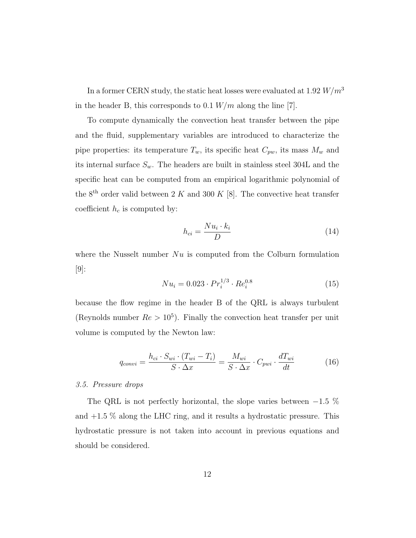In a former CERN study, the static heat losses were evaluated at 1.92  $W\!/m^3$ in the header B, this corresponds to  $0.1 W/m$  along the line [7].

To compute dynamically the convection heat transfer between the pipe and the fluid, supplementary variables are introduced to characterize the pipe properties: its temperature  $T_w$ , its specific heat  $C_{pw}$ , its mass  $M_w$  and its internal surface  $S_w$ . The headers are built in stainless steel 304L and the specific heat can be computed from an empirical logarithmic polynomial of the 8<sup>th</sup> order valid between 2 K and 300 K [8]. The convective heat transfer coefficient  $h_c$  is computed by:

$$
h_{ci} = \frac{Nu_i \cdot k_i}{D} \tag{14}
$$

where the Nusselt number  $Nu$  is computed from the Colburn formulation [9]:

$$
Nu_i = 0.023 \cdot Pr_i^{1/3} \cdot Re_i^{0.8}
$$
 (15)

because the flow regime in the header B of the QRL is always turbulent (Reynolds number  $Re > 10^5$ ). Finally the convection heat transfer per unit volume is computed by the Newton law:

$$
q_{convi} = \frac{h_{ci} \cdot S_{wi} \cdot (T_{wi} - T_i)}{S \cdot \Delta x} = \frac{M_{wi}}{S \cdot \Delta x} \cdot C_{pwi} \cdot \frac{dT_{wi}}{dt}
$$
(16)

## 3.5. Pressure drops

The QRL is not perfectly horizontal, the slope varies between  $-1.5\%$ and  $+1.5\%$  along the LHC ring, and it results a hydrostatic pressure. This hydrostatic pressure is not taken into account in previous equations and should be considered.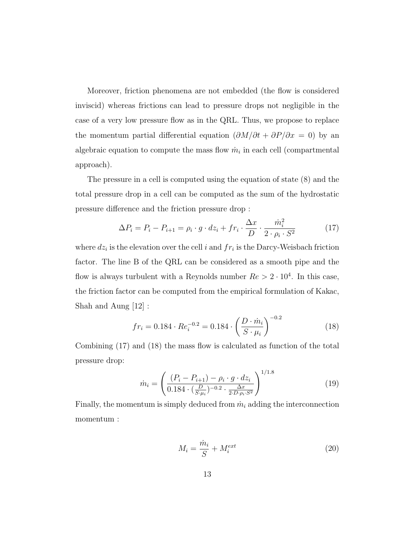Moreover, friction phenomena are not embedded (the flow is considered inviscid) whereas frictions can lead to pressure drops not negligible in the case of a very low pressure flow as in the QRL. Thus, we propose to replace the momentum partial differential equation  $(\partial M/\partial t + \partial P/\partial x = 0)$  by an algebraic equation to compute the mass flow  $\dot{m}_i$  in each cell (compartmental approach).

The pressure in a cell is computed using the equation of state (8) and the total pressure drop in a cell can be computed as the sum of the hydrostatic pressure difference and the friction pressure drop :

$$
\Delta P_i = P_i - P_{i+1} = \rho_i \cdot g \cdot dz_i + fr_i \cdot \frac{\Delta x}{D} \cdot \frac{\dot{m}_i^2}{2 \cdot \rho_i \cdot S^2}
$$
 (17)

where  $dz_i$  is the elevation over the cell i and  $fr_i$  is the Darcy-Weisbach friction factor. The line B of the QRL can be considered as a smooth pipe and the flow is always turbulent with a Reynolds number  $Re > 2 \cdot 10^4$ . In this case, the friction factor can be computed from the empirical formulation of Kakac, Shah and Aung [12] :

$$
fr_i = 0.184 \cdot Re_i^{-0.2} = 0.184 \cdot \left(\frac{D \cdot \dot{m}_i}{S \cdot \mu_i}\right)^{-0.2}
$$
 (18)

Combining (17) and (18) the mass flow is calculated as function of the total pressure drop:

$$
\dot{m}_i = \left(\frac{(P_i - P_{i+1}) - \rho_i \cdot g \cdot dz_i}{0.184 \cdot (\frac{D}{S \cdot \mu_i})^{-0.2} \cdot \frac{\Delta x}{2 \cdot D \cdot \rho_i \cdot S^2}}\right)^{1/1.8}
$$
\n(19)

Finally, the momentum is simply deduced from  $\dot{m}_i$  adding the interconnection momentum :

$$
M_i = \frac{\dot{m}_i}{S} + M_i^{ext} \tag{20}
$$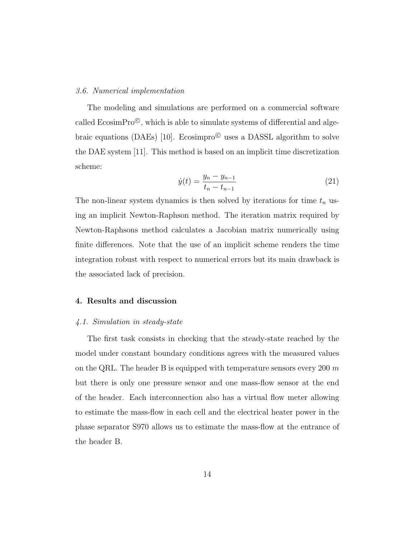#### 3.6. Numerical implementation

The modeling and simulations are performed on a commercial software called  $E\text{cosimPro}^{\mathbb{C}}$ , which is able to simulate systems of differential and algebraic equations (DAEs) [10]. Ecosimpro<sup> $\odot$ </sup> uses a DASSL algorithm to solve the DAE system [11]. This method is based on an implicit time discretization scheme:

$$
\dot{y}(t) = \frac{y_n - y_{n-1}}{t_n - t_{n-1}}\tag{21}
$$

The non-linear system dynamics is then solved by iterations for time  $t_n$  using an implicit Newton-Raphson method. The iteration matrix required by Newton-Raphsons method calculates a Jacobian matrix numerically using finite differences. Note that the use of an implicit scheme renders the time integration robust with respect to numerical errors but its main drawback is the associated lack of precision.

## 4. Results and discussion

#### 4.1. Simulation in steady-state

The first task consists in checking that the steady-state reached by the model under constant boundary conditions agrees with the measured values on the QRL. The header B is equipped with temperature sensors every 200  $m$ but there is only one pressure sensor and one mass-flow sensor at the end of the header. Each interconnection also has a virtual flow meter allowing to estimate the mass-flow in each cell and the electrical heater power in the phase separator S970 allows us to estimate the mass-flow at the entrance of the header B.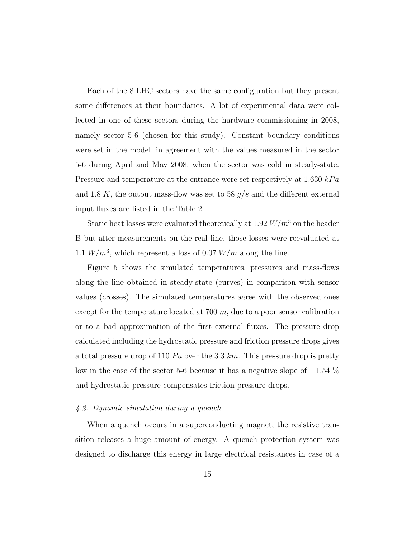Each of the 8 LHC sectors have the same configuration but they present some differences at their boundaries. A lot of experimental data were collected in one of these sectors during the hardware commissioning in 2008, namely sector 5-6 (chosen for this study). Constant boundary conditions were set in the model, in agreement with the values measured in the sector 5-6 during April and May 2008, when the sector was cold in steady-state. Pressure and temperature at the entrance were set respectively at  $1.630 kPa$ and 1.8 K, the output mass-flow was set to 58  $g/s$  and the different external input fluxes are listed in the Table 2.

Static heat losses were evaluated theoretically at 1.92  $W/m^3$  on the header B but after measurements on the real line, those losses were reevaluated at 1.1  $W/m^3$ , which represent a loss of 0.07  $W/m$  along the line.

Figure 5 shows the simulated temperatures, pressures and mass-flows along the line obtained in steady-state (curves) in comparison with sensor values (crosses). The simulated temperatures agree with the observed ones except for the temperature located at  $700 \, m$ , due to a poor sensor calibration or to a bad approximation of the first external fluxes. The pressure drop calculated including the hydrostatic pressure and friction pressure drops gives a total pressure drop of 110  $Pa$  over the 3.3 km. This pressure drop is pretty low in the case of the sector 5-6 because it has a negative slope of  $-1.54\%$ and hydrostatic pressure compensates friction pressure drops.

## 4.2. Dynamic simulation during a quench

When a quench occurs in a superconducting magnet, the resistive transition releases a huge amount of energy. A quench protection system was designed to discharge this energy in large electrical resistances in case of a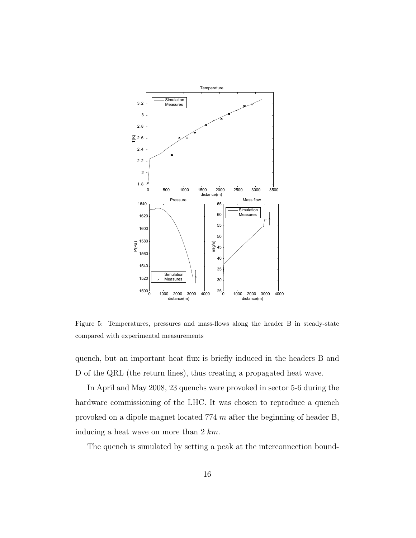

Figure 5: Temperatures, pressures and mass-flows along the header B in steady-state compared with experimental measurements

quench, but an important heat flux is briefly induced in the headers B and D of the QRL (the return lines), thus creating a propagated heat wave.

In April and May 2008, 23 quenchs were provoked in sector 5-6 during the hardware commissioning of the LHC. It was chosen to reproduce a quench provoked on a dipole magnet located 774 m after the beginning of header B, inducing a heat wave on more than  $2 \, km$ .

The quench is simulated by setting a peak at the interconnection bound-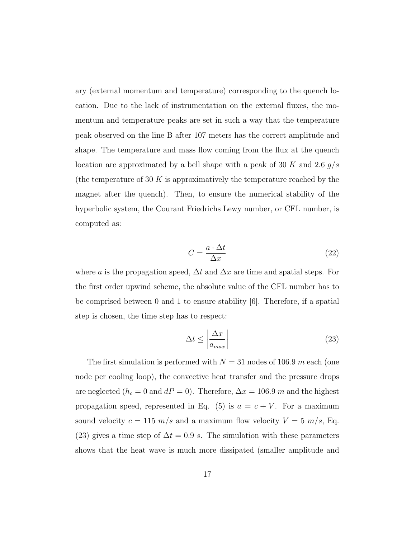ary (external momentum and temperature) corresponding to the quench location. Due to the lack of instrumentation on the external fluxes, the momentum and temperature peaks are set in such a way that the temperature peak observed on the line B after 107 meters has the correct amplitude and shape. The temperature and mass flow coming from the flux at the quench location are approximated by a bell shape with a peak of 30 K and 2.6  $g/s$ (the temperature of 30 K is approximatively the temperature reached by the magnet after the quench). Then, to ensure the numerical stability of the hyperbolic system, the Courant Friedrichs Lewy number, or CFL number, is computed as:

$$
C = \frac{a \cdot \Delta t}{\Delta x} \tag{22}
$$

where a is the propagation speed,  $\Delta t$  and  $\Delta x$  are time and spatial steps. For the first order upwind scheme, the absolute value of the CFL number has to be comprised between 0 and 1 to ensure stability [6]. Therefore, if a spatial step is chosen, the time step has to respect:

$$
\Delta t \le \left| \frac{\Delta x}{a_{max}} \right| \tag{23}
$$

The first simulation is performed with  $N = 31$  nodes of 106.9 m each (one node per cooling loop), the convective heat transfer and the pressure drops are neglected ( $h_c = 0$  and  $dP = 0$ ). Therefore,  $\Delta x = 106.9$  m and the highest propagation speed, represented in Eq. (5) is  $a = c + V$ . For a maximum sound velocity  $c = 115$   $m/s$  and a maximum flow velocity  $V = 5$   $m/s$ , Eq. (23) gives a time step of  $\Delta t = 0.9$  s. The simulation with these parameters shows that the heat wave is much more dissipated (smaller amplitude and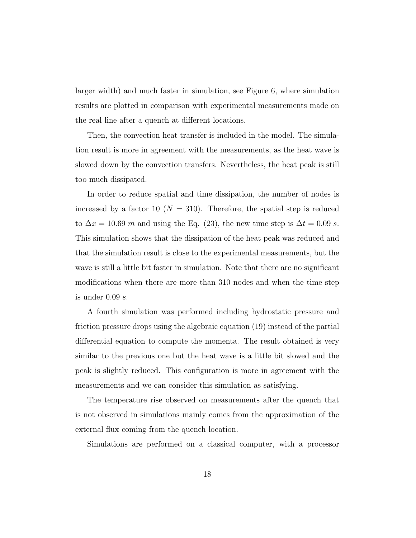larger width) and much faster in simulation, see Figure 6, where simulation results are plotted in comparison with experimental measurements made on the real line after a quench at different locations.

Then, the convection heat transfer is included in the model. The simulation result is more in agreement with the measurements, as the heat wave is slowed down by the convection transfers. Nevertheless, the heat peak is still too much dissipated.

In order to reduce spatial and time dissipation, the number of nodes is increased by a factor 10 ( $N = 310$ ). Therefore, the spatial step is reduced to  $\Delta x = 10.69$  m and using the Eq. (23), the new time step is  $\Delta t = 0.09$  s. This simulation shows that the dissipation of the heat peak was reduced and that the simulation result is close to the experimental measurements, but the wave is still a little bit faster in simulation. Note that there are no significant modifications when there are more than 310 nodes and when the time step is under  $0.09 s$ .

A fourth simulation was performed including hydrostatic pressure and friction pressure drops using the algebraic equation (19) instead of the partial differential equation to compute the momenta. The result obtained is very similar to the previous one but the heat wave is a little bit slowed and the peak is slightly reduced. This configuration is more in agreement with the measurements and we can consider this simulation as satisfying.

The temperature rise observed on measurements after the quench that is not observed in simulations mainly comes from the approximation of the external flux coming from the quench location.

Simulations are performed on a classical computer, with a processor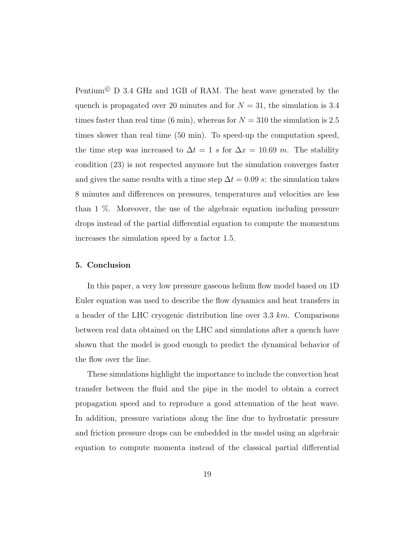Pentium<sup>©</sup> D 3.4 GHz and 1GB of RAM. The heat wave generated by the quench is propagated over 20 minutes and for  $N = 31$ , the simulation is 3.4 times faster than real time (6 min), whereas for  $N = 310$  the simulation is 2.5 times slower than real time (50 min). To speed-up the computation speed, the time step was increased to  $\Delta t = 1$  s for  $\Delta x = 10.69$  m. The stability condition (23) is not respected anymore but the simulation converges faster and gives the same results with a time step  $\Delta t = 0.09$  s: the simulation takes 8 minutes and differences on pressures, temperatures and velocities are less than 1 %. Moreover, the use of the algebraic equation including pressure drops instead of the partial differential equation to compute the momentum increases the simulation speed by a factor 1.5.

### 5. Conclusion

In this paper, a very low pressure gaseous helium flow model based on 1D Euler equation was used to describe the flow dynamics and heat transfers in a header of the LHC cryogenic distribution line over  $3.3 \; km.$  Comparisons between real data obtained on the LHC and simulations after a quench have shown that the model is good enough to predict the dynamical behavior of the flow over the line.

These simulations highlight the importance to include the convection heat transfer between the fluid and the pipe in the model to obtain a correct propagation speed and to reproduce a good attenuation of the heat wave. In addition, pressure variations along the line due to hydrostatic pressure and friction pressure drops can be embedded in the model using an algebraic equation to compute momenta instead of the classical partial differential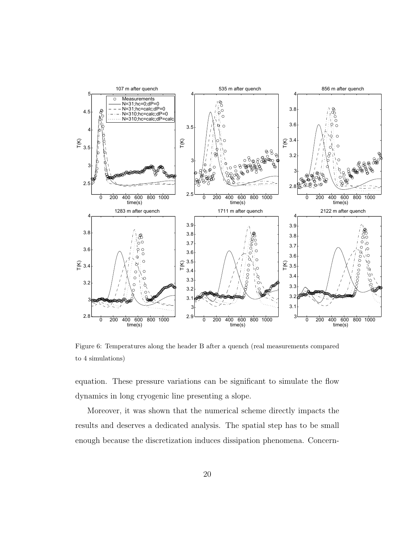

Figure 6: Temperatures along the header B after a quench (real measurements compared to 4 simulations)

equation. These pressure variations can be significant to simulate the flow dynamics in long cryogenic line presenting a slope.

Moreover, it was shown that the numerical scheme directly impacts the results and deserves a dedicated analysis. The spatial step has to be small enough because the discretization induces dissipation phenomena. Concern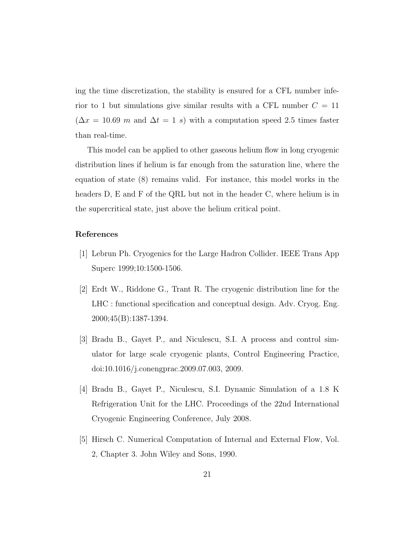ing the time discretization, the stability is ensured for a CFL number inferior to 1 but simulations give similar results with a CFL number  $C = 11$  $(\Delta x = 10.69 \text{ m and } \Delta t = 1 \text{ s})$  with a computation speed 2.5 times faster than real-time.

This model can be applied to other gaseous helium flow in long cryogenic distribution lines if helium is far enough from the saturation line, where the equation of state (8) remains valid. For instance, this model works in the headers D, E and F of the QRL but not in the header C, where helium is in the supercritical state, just above the helium critical point.

## References

- [1] Lebrun Ph. Cryogenics for the Large Hadron Collider. IEEE Trans App Superc 1999;10:1500-1506.
- [2] Erdt W., Riddone G., Trant R. The cryogenic distribution line for the LHC : functional specification and conceptual design. Adv. Cryog. Eng. 2000;45(B):1387-1394.
- [3] Bradu B., Gayet P., and Niculescu, S.I. A process and control simulator for large scale cryogenic plants, Control Engineering Practice, doi:10.1016/j.conengprac.2009.07.003, 2009.
- [4] Bradu B., Gayet P., Niculescu, S.I. Dynamic Simulation of a 1.8 K Refrigeration Unit for the LHC. Proceedings of the 22nd International Cryogenic Engineering Conference, July 2008.
- [5] Hirsch C. Numerical Computation of Internal and External Flow, Vol. 2, Chapter 3. John Wiley and Sons, 1990.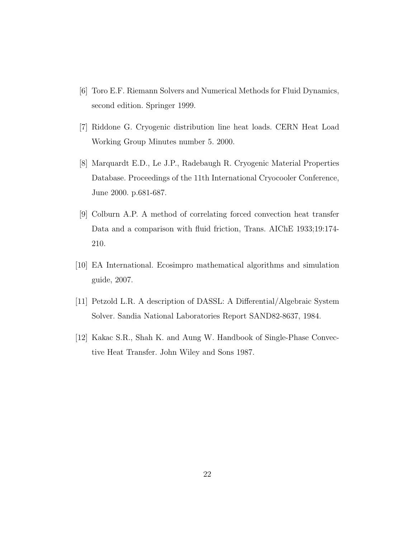- [6] Toro E.F. Riemann Solvers and Numerical Methods for Fluid Dynamics, second edition. Springer 1999.
- [7] Riddone G. Cryogenic distribution line heat loads. CERN Heat Load Working Group Minutes number 5. 2000.
- [8] Marquardt E.D., Le J.P., Radebaugh R. Cryogenic Material Properties Database. Proceedings of the 11th International Cryocooler Conference, June 2000. p.681-687.
- [9] Colburn A.P. A method of correlating forced convection heat transfer Data and a comparison with fluid friction, Trans. AIChE 1933;19:174- 210.
- [10] EA International. Ecosimpro mathematical algorithms and simulation guide, 2007.
- [11] Petzold L.R. A description of DASSL: A Differential/Algebraic System Solver. Sandia National Laboratories Report SAND82-8637, 1984.
- [12] Kakac S.R., Shah K. and Aung W. Handbook of Single-Phase Convective Heat Transfer. John Wiley and Sons 1987.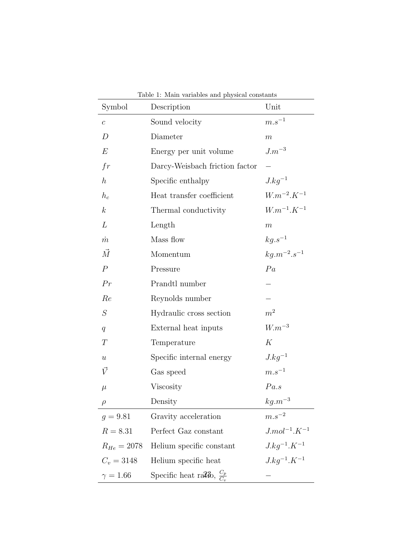| Table 1: Main variables and physical constants |                                        |                        |  |  |
|------------------------------------------------|----------------------------------------|------------------------|--|--|
| Symbol                                         | Description                            | Unit                   |  |  |
| $\mathcal{C}$                                  | Sound velocity                         | $m.s^{-1}$             |  |  |
| D                                              | Diameter                               | m                      |  |  |
| E                                              | Energy per unit volume                 | $J.m^{-3}$             |  |  |
| fr                                             | Darcy-Weisbach friction factor         |                        |  |  |
| $\hbar$                                        | Specific enthalpy                      | $J.kg^{-1}$            |  |  |
| $h_c$                                          | Heat transfer coefficient              | $W.m^{-2}.K^{-1}$      |  |  |
| $\boldsymbol{k}$                               | Thermal conductivity                   | $W.m^{-1}.K^{-1}$      |  |  |
| L                                              | Length                                 | $\boldsymbol{m}$       |  |  |
| $\dot{m}$                                      | Mass flow                              | $kg.s^{-1}$            |  |  |
| $\vec{M}$                                      | Momentum                               | $kg.m^{-2}.s^{-1}$     |  |  |
| $\overline{P}$                                 | Pressure                               | Pa                     |  |  |
| Pr                                             | Prandtl number                         |                        |  |  |
| Re                                             | Reynolds number                        |                        |  |  |
| S                                              | Hydraulic cross section                | m <sup>2</sup>         |  |  |
| q                                              | External heat inputs                   | $W.m^{-3}$             |  |  |
| T                                              | Temperature                            | К                      |  |  |
| $\boldsymbol{u}$                               | Specific internal energy               | $J.kg^{-1}$            |  |  |
| $\vec{V}$                                      | Gas speed                              | $m.s^{-1}$             |  |  |
| $\mu$                                          | Viscosity                              | Pa.s                   |  |  |
| $\rho$                                         | Density                                | $kg.m^{-3}$            |  |  |
| $g = 9.81$                                     | Gravity acceleration                   | $m.s^{-2}$             |  |  |
| $R = 8.31$                                     | Perfect Gaz constant                   | $J_{.}mol^{-1}.K^{-1}$ |  |  |
| $R_{He} = 2078$                                | Helium specific constant               | $J.kg^{-1}.K^{-1}$     |  |  |
| $C_v = 3148$                                   | Helium specific heat                   | $J.kg^{-1}.K^{-1}$     |  |  |
| $\gamma = 1.66$                                | Specific heat ratio, $\frac{C_p}{C_p}$ |                        |  |  |